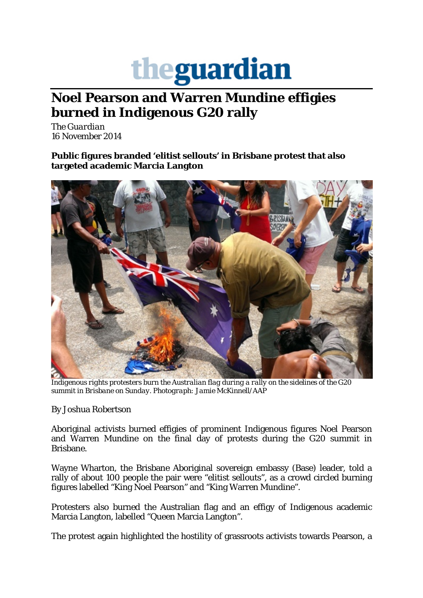

## **Noel Pearson and Warren Mundine effigies burned in Indigenous G20 rally**

*The Guardian* 16 November 2014

**Public figures branded 'elitist sellouts' in Brisbane protest that also targeted academic Marcia Langton**



*Indigenous rights protesters burn the Australian flag during a rally on the sidelines of the G20 summit in Brisbane on Sunday. Photograph: Jamie McKinnell/AAP*

By Joshua Robertson

Aboriginal activists burned effigies of prominent Indigenous figures Noel Pearson and Warren Mundine on the final day of protests during the G20 summit in Brisbane.

Wayne Wharton, the Brisbane Aboriginal sovereign embassy (Base) leader, told a rally of about 100 people the pair were "elitist sellouts", as a crowd circled burning figures labelled "King Noel Pearson" and "King Warren Mundine".

Protesters also burned the Australian flag and an effigy of Indigenous academic Marcia Langton, labelled "Queen Marcia Langton".

The protest again highlighted the hostility of grassroots activists towards Pearson, a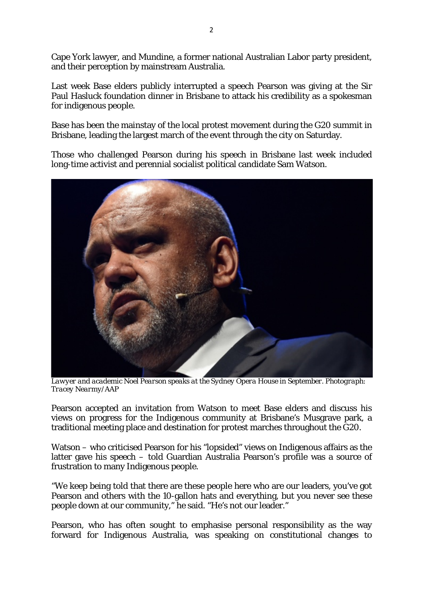Cape York lawyer, and Mundine, a former national Australian Labor party president, and their perception by mainstream Australia.

Last week Base elders publicly interrupted a speech Pearson was giving at the Sir Paul Hasluck foundation dinner in Brisbane to attack his credibility as a spokesman for indigenous people.

Base has been the mainstay of the local protest movement during the G20 summit in Brisbane, leading the largest march of the event through the city on Saturday.

Those who challenged Pearson during his speech in Brisbane last week included long-time activist and perennial socialist political candidate Sam Watson.



*Lawyer and academic Noel Pearson speaks at the Sydney Opera House in September. Photograph: Tracey Nearmy/AAP*

Pearson accepted an invitation from Watson to meet Base elders and discuss his views on progress for the Indigenous community at Brisbane's Musgrave park, a traditional meeting place and destination for protest marches throughout the G20.

Watson – who criticised Pearson for his "lopsided" views on Indigenous affairs as the latter gave his speech – told Guardian Australia Pearson's profile was a source of frustration to many Indigenous people.

"We keep being told that there are these people here who are our leaders, you've got Pearson and others with the 10-gallon hats and everything, but you never see these people down at our community," he said. "He's not our leader."

Pearson, who has often sought to emphasise personal responsibility as the way forward for Indigenous Australia, was speaking on constitutional changes to